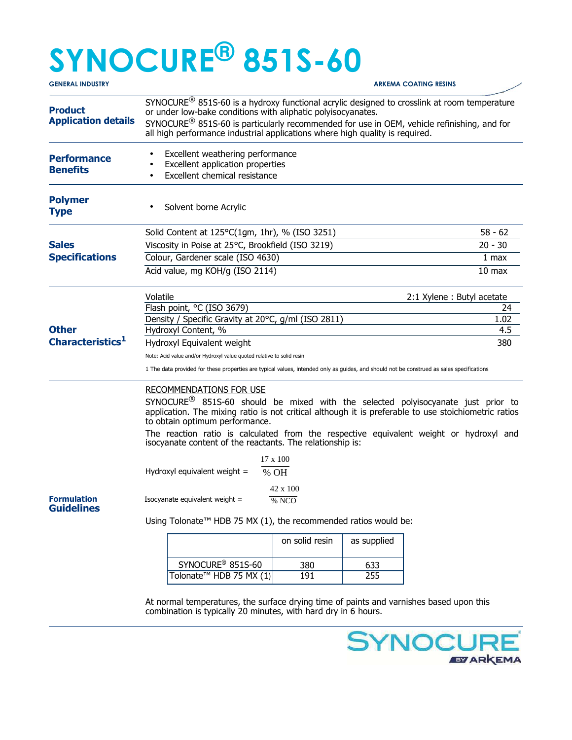## **SYNOCURE® 851S-60**

| <b>GENERAL INDUSTRY</b>                      |                                                                                                                                                                                                                                                                                                                                                                                                                                 |                   |             | <b>ARKEMA COATING RESINS</b> |  |
|----------------------------------------------|---------------------------------------------------------------------------------------------------------------------------------------------------------------------------------------------------------------------------------------------------------------------------------------------------------------------------------------------------------------------------------------------------------------------------------|-------------------|-------------|------------------------------|--|
| <b>Product</b><br><b>Application details</b> | SYNOCURE <sup>®</sup> 851S-60 is a hydroxy functional acrylic designed to crosslink at room temperature<br>or under low-bake conditions with aliphatic polyisocyanates.<br>SYNOCURE <sup>®</sup> 851S-60 is particularly recommended for use in OEM, vehicle refinishing, and for<br>all high performance industrial applications where high quality is required.                                                               |                   |             |                              |  |
| <b>Performance</b><br><b>Benefits</b>        | Excellent weathering performance<br>Excellent application properties<br>Excellent chemical resistance                                                                                                                                                                                                                                                                                                                           |                   |             |                              |  |
| <b>Polymer</b><br><b>Type</b>                | Solvent borne Acrylic                                                                                                                                                                                                                                                                                                                                                                                                           |                   |             |                              |  |
|                                              | Solid Content at $125^{\circ}$ C(1gm, 1hr), % (ISO 3251)                                                                                                                                                                                                                                                                                                                                                                        | $58 - 62$         |             |                              |  |
| <b>Sales</b><br><b>Specifications</b>        | Viscosity in Poise at 25°C, Brookfield (ISO 3219)                                                                                                                                                                                                                                                                                                                                                                               | $20 - 30$         |             |                              |  |
|                                              | Colour, Gardener scale (ISO 4630)                                                                                                                                                                                                                                                                                                                                                                                               | 1 max             |             |                              |  |
|                                              | Acid value, mg KOH/g (ISO 2114)                                                                                                                                                                                                                                                                                                                                                                                                 | 10 <sub>max</sub> |             |                              |  |
|                                              | Volatile<br>2:1 Xylene: Butyl acetate                                                                                                                                                                                                                                                                                                                                                                                           |                   |             |                              |  |
|                                              | Flash point, °C (ISO 3679)                                                                                                                                                                                                                                                                                                                                                                                                      |                   |             | 24                           |  |
|                                              | Density / Specific Gravity at 20°C, g/ml (ISO 2811)<br>1.02                                                                                                                                                                                                                                                                                                                                                                     |                   |             |                              |  |
| <b>Other</b><br>Characteristics <sup>1</sup> | Hydroxyl Content, %                                                                                                                                                                                                                                                                                                                                                                                                             |                   |             | 4.5                          |  |
|                                              | Hydroxyl Equivalent weight                                                                                                                                                                                                                                                                                                                                                                                                      |                   |             | 380                          |  |
|                                              | Note: Acid value and/or Hydroxyl value quoted relative to solid resin<br>1 The data provided for these properties are typical values, intended only as guides, and should not be construed as sales specifications                                                                                                                                                                                                              |                   |             |                              |  |
|                                              | <b>RECOMMENDATIONS FOR USE</b><br>SYNOCURE <sup>®</sup> 851S-60 should be mixed with the selected polyisocyanate just prior to<br>application. The mixing ratio is not critical although it is preferable to use stoichiometric ratios<br>to obtain optimum performance.<br>The reaction ratio is calculated from the respective equivalent weight or hydroxyl and<br>isocyanate content of the reactants. The relationship is: |                   |             |                              |  |
|                                              | $17 \times 100$                                                                                                                                                                                                                                                                                                                                                                                                                 |                   |             |                              |  |
|                                              | Hydroxyl equivalent weight $=$<br>$%$ OH                                                                                                                                                                                                                                                                                                                                                                                        |                   |             |                              |  |
| <b>Formulation</b><br><b>Guidelines</b>      | 42 x 100<br>Isocyanate equivalent weight =<br>$\sqrt[6]{NCO}$<br>Using Tolonate™ HDB 75 MX (1), the recommended ratios would be:                                                                                                                                                                                                                                                                                                |                   |             |                              |  |
|                                              |                                                                                                                                                                                                                                                                                                                                                                                                                                 | on solid resin    | as supplied |                              |  |
|                                              | SYNOCURE <sup>®</sup> 851S-60                                                                                                                                                                                                                                                                                                                                                                                                   | 380               | 633         |                              |  |
|                                              | Tolonate <sup>™</sup> HDB 75 MX (1)                                                                                                                                                                                                                                                                                                                                                                                             | 191               | 255         |                              |  |

At normal temperatures, the surface drying time of paints and varnishes based upon this combination is typically 20 minutes, with hard dry in 6 hours.